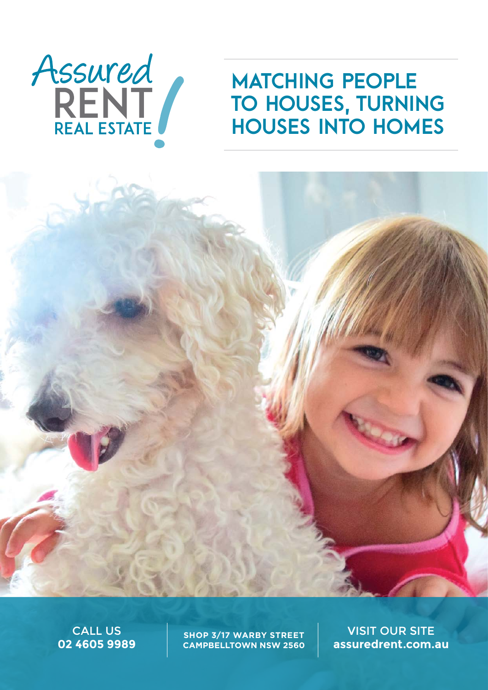

# **MATCHING PEOPLE** to houses, turning houses into homes

CALL US **02 4605 9989**

**SHOP 3/17 WARBY STREET CAMPBELLTOWN NSW 2560**

VISIT OUR SITE **assuredrent.com.au**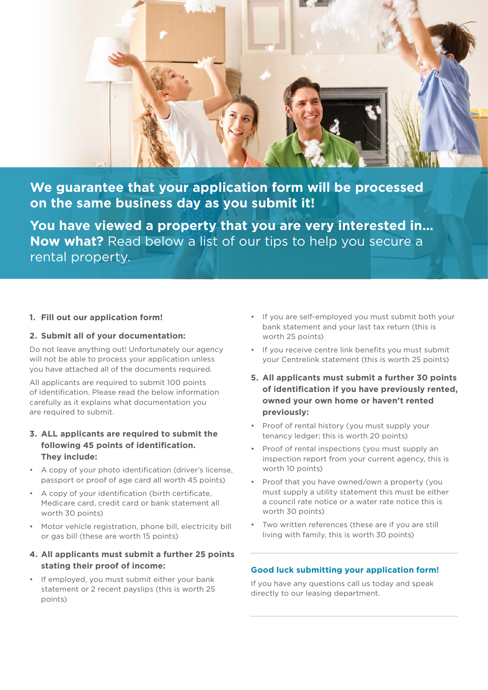

**We guarantee that your application form will be processed on the same business day as you submit it!**

**You have viewed a property that you are very interested in… Now what?** Read below a list of our tips to help you secure a rental property.

#### **1. Fill out our application form!**

#### **2. Submit all of your documentation:**

Do not leave anything out! Unfortunately our agency will not be able to process your application unless you have attached all of the documents required.

All applicants are required to submit 100 points of identification. Please read the below information carefully as it explains what documentation you are required to submit.

## **3. ALL applicants are required to submit the following 45 points of identification. They include:**

- A copy of your photo identification (driver's license, passport or proof of age card all worth 45 points)
- A copy of your identification (birth certificate, Medicare card, credit card or bank statement all worth 30 points)
- • Motor vehicle registration, phone bill, electricity bill or gas bill (these are worth 15 points)

### **4. All applicants must submit a further 25 points stating their proof of income:**

• If employed, you must submit either your bank statement or 2 recent payslips (this is worth 25 points)

- • If you are self-employed you must submit both your bank statement and your last tax return (this is worth 25 points)
- • If you receive centre link benefits you must submit your Centrelink statement (this is worth 25 points)
- **5. All applicants must submit a further 30 points of identification if you have previously rented, owned your own home or haven't rented previously:**
- Proof of rental history (you must supply your tenancy ledger; this is worth 20 points)
- Proof of rental inspections (you must supply an inspection report from your current agency, this is worth 10 points)
- • Proof that you have owned/own a property (you must supply a utility statement this must be either a council rate notice or a water rate notice this is worth 30 points)
- Two written references (these are if you are still living with family, this is worth 30 points)

#### **Good luck submitting your application form!**

If you have any questions call us today and speak directly to our leasing department.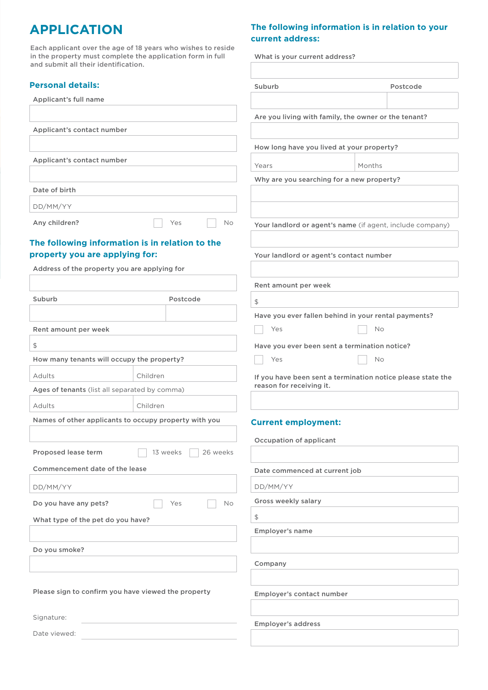# **APPLICATION**

Each applicant over the age of 18 years who wishes to reside in the property must complete the application form in full and submit all their identification.

### **Personal details:**

Applicant's full name

Applicant's contact number

Applicant's contact number

Date of birth DD/MM/YY

Any children? No Res No

# **The following information is in relation to the property you are applying for:**

| Address of the property you are applying for                                        |          |                      |                                                             |                                                      |  |
|-------------------------------------------------------------------------------------|----------|----------------------|-------------------------------------------------------------|------------------------------------------------------|--|
|                                                                                     |          |                      | Rent amount per week                                        |                                                      |  |
| Suburb                                                                              |          | Postcode             | \$                                                          |                                                      |  |
|                                                                                     |          |                      |                                                             | Have you ever fallen behind in your rental payments? |  |
| Rent amount per week                                                                |          |                      | Yes                                                         | <b>No</b>                                            |  |
| \$                                                                                  |          |                      |                                                             | Have you ever been sent a termination notice?        |  |
| How many tenants will occupy the property?                                          |          |                      | Yes                                                         | <b>No</b>                                            |  |
| Adults                                                                              | Children |                      | If you have been sent a termination notice please state the |                                                      |  |
| Ages of tenants (list all separated by comma)                                       |          |                      | reason for receiving it.                                    |                                                      |  |
| Adults                                                                              | Children |                      |                                                             |                                                      |  |
| Names of other applicants to occupy property with you<br><b>Current employment:</b> |          |                      |                                                             |                                                      |  |
|                                                                                     |          |                      |                                                             |                                                      |  |
|                                                                                     |          |                      | Occupation of applicant                                     |                                                      |  |
| Proposed lease term                                                                 |          | 13 weeks<br>26 weeks |                                                             |                                                      |  |
| Commencement date of the lease                                                      |          |                      | Date commenced at current job                               |                                                      |  |
| DD/MM/YY                                                                            |          |                      | DD/MM/YY                                                    |                                                      |  |
| Do you have any pets?<br><b>No</b><br>Yes                                           |          |                      | Gross weekly salary                                         |                                                      |  |
| What type of the pet do you have?                                                   |          |                      | \$                                                          |                                                      |  |
|                                                                                     |          |                      | Employer's name                                             |                                                      |  |
| Do you smoke?                                                                       |          |                      |                                                             |                                                      |  |
|                                                                                     |          |                      | Company                                                     |                                                      |  |
|                                                                                     |          |                      |                                                             |                                                      |  |
| Please sign to confirm you have viewed the property                                 |          |                      | Employer's contact number                                   |                                                      |  |
|                                                                                     |          |                      |                                                             |                                                      |  |

Employer's address

#### Signature:

Date viewed:

# **The following information is in relation to your**

**current address:** What is your current address? Suburb Postcode Are you living with family, the owner or the tenant? How long have you lived at your property? Years Months Why are you searching for a new property? Your landlord or agent's name (if agent, include company) Your landlord or agent's contact number If you have been sent a termination notice please state the